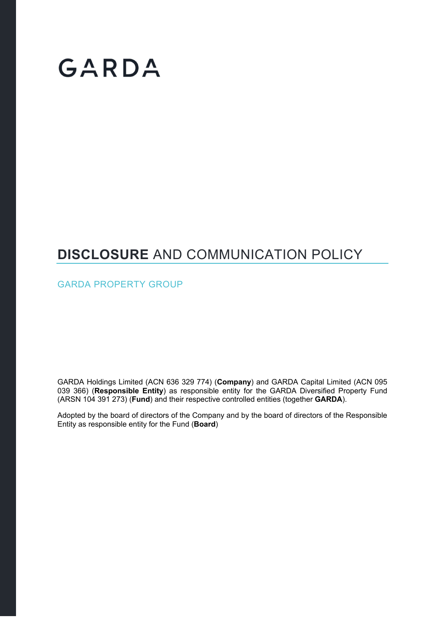# GARDA

### **DISCLOSURE** AND COMMUNICATION POLICY

GARDA PROPERTY GROUP

GARDA Holdings Limited (ACN 636 329 774) (**Company**) and GARDA Capital Limited (ACN 095 039 366) (**Responsible Entity**) as responsible entity for the GARDA Diversified Property Fund (ARSN 104 391 273) (**Fund**) and their respective controlled entities (together **GARDA**).

Adopted by the board of directors of the Company and by the board of directors of the Responsible Entity as responsible entity for the Fund (**Board**)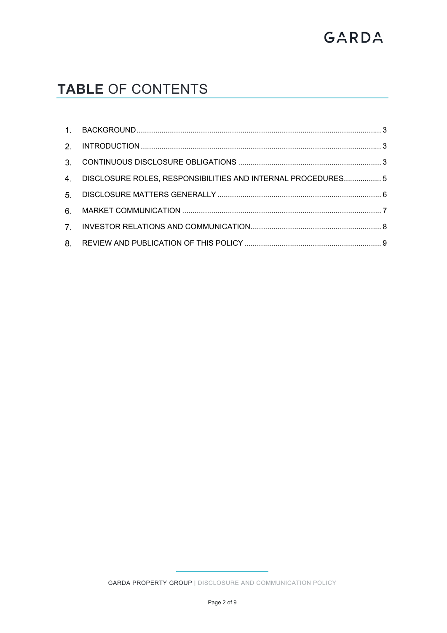# GARDA

## **TABLE** OF CONTENTS

| 4. DISCLOSURE ROLES, RESPONSIBILITIES AND INTERNAL PROCEDURES5 |  |
|----------------------------------------------------------------|--|
|                                                                |  |
|                                                                |  |
|                                                                |  |
|                                                                |  |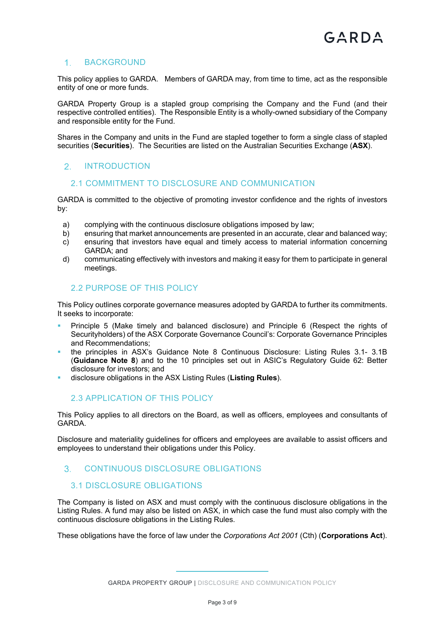#### 1. BACKGROUND

This policy applies to GARDA. Members of GARDA may, from time to time, act as the responsible entity of one or more funds.

GARDA Property Group is a stapled group comprising the Company and the Fund (and their respective controlled entities). The Responsible Entity is a wholly-owned subsidiary of the Company and responsible entity for the Fund.

Shares in the Company and units in the Fund are stapled together to form a single class of stapled securities (**Securities**). The Securities are listed on the Australian Securities Exchange (**ASX**).

#### 2. INTRODUCTION

#### 2.1 COMMITMENT TO DISCLOSURE AND COMMUNICATION

GARDA is committed to the objective of promoting investor confidence and the rights of investors by:

- a) complying with the continuous disclosure obligations imposed by law;
- b) ensuring that market announcements are presented in an accurate, clear and balanced way;
- c) ensuring that investors have equal and timely access to material information concerning GARDA; and
- d) communicating effectively with investors and making it easy for them to participate in general meetings.

#### 2.2 PURPOSE OF THIS POLICY

This Policy outlines corporate governance measures adopted by GARDA to further its commitments. It seeks to incorporate:

- Principle 5 (Make timely and balanced disclosure) and Principle 6 (Respect the rights of Securityholders) of the ASX Corporate Governance Council's: Corporate Governance Principles and Recommendations;
- the principles in ASX's Guidance Note 8 Continuous Disclosure: Listing Rules 3.1- 3.1B (**Guidance Note 8**) and to the 10 principles set out in ASIC's Regulatory Guide 62: Better disclosure for investors; and
- disclosure obligations in the ASX Listing Rules (**Listing Rules**).

#### 2.3 APPLICATION OF THIS POLICY

This Policy applies to all directors on the Board, as well as officers, employees and consultants of GARDA.

Disclosure and materiality guidelines for officers and employees are available to assist officers and employees to understand their obligations under this Policy.

#### CONTINUOUS DISCLOSURE OBLIGATIONS

#### 3.1 DISCLOSURE OBLIGATIONS

The Company is listed on ASX and must comply with the continuous disclosure obligations in the Listing Rules. A fund may also be listed on ASX, in which case the fund must also comply with the continuous disclosure obligations in the Listing Rules.

These obligations have the force of law under the *Corporations Act 2001* (Cth) (**Corporations Act**).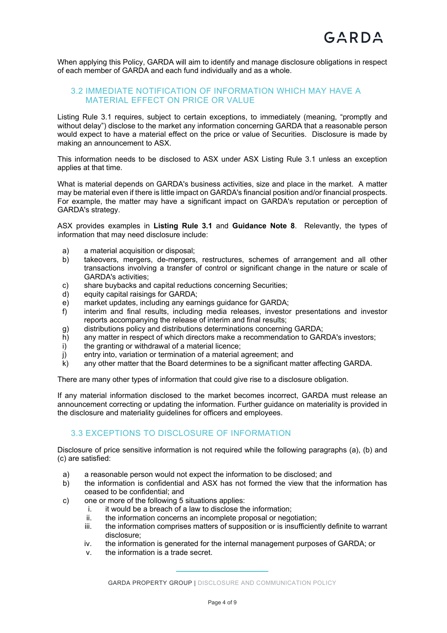When applying this Policy, GARDA will aim to identify and manage disclosure obligations in respect of each member of GARDA and each fund individually and as a whole.

#### 3.2 IMMEDIATE NOTIFICATION OF INFORMATION WHICH MAY HAVE A MATERIAL EFFECT ON PRICE OR VALUE

Listing Rule 3.1 requires, subject to certain exceptions, to immediately (meaning, "promptly and without delay") disclose to the market any information concerning GARDA that a reasonable person would expect to have a material effect on the price or value of Securities. Disclosure is made by making an announcement to ASX.

This information needs to be disclosed to ASX under ASX Listing Rule 3.1 unless an exception applies at that time.

What is material depends on GARDA's business activities, size and place in the market. A matter may be material even if there is little impact on GARDA's financial position and/or financial prospects. For example, the matter may have a significant impact on GARDA's reputation or perception of GARDA's strategy.

ASX provides examples in **Listing Rule 3.1** and **Guidance Note 8**. Relevantly, the types of information that may need disclosure include:

- a) a material acquisition or disposal;
- b) takeovers, mergers, de-mergers, restructures, schemes of arrangement and all other transactions involving a transfer of control or significant change in the nature or scale of GARDA's activities;
- c) share buybacks and capital reductions concerning Securities;
- d) equity capital raisings for GARDA;
- e) market updates, including any earnings guidance for GARDA;
- f) interim and final results, including media releases, investor presentations and investor reports accompanying the release of interim and final results;
- g) distributions policy and distributions determinations concerning GARDA;
- h) any matter in respect of which directors make a recommendation to GARDA's investors;
- i) the granting or withdrawal of a material licence;
- j) entry into, variation or termination of a material agreement; and
- k) any other matter that the Board determines to be a significant matter affecting GARDA.

There are many other types of information that could give rise to a disclosure obligation.

If any material information disclosed to the market becomes incorrect, GARDA must release an announcement correcting or updating the information. Further guidance on materiality is provided in the disclosure and materiality guidelines for officers and employees.

#### 3.3 EXCEPTIONS TO DISCLOSURE OF INFORMATION

Disclosure of price sensitive information is not required while the following paragraphs (a), (b) and (c) are satisfied:

- a) a reasonable person would not expect the information to be disclosed; and
- b) the information is confidential and ASX has not formed the view that the information has ceased to be confidential; and
- c) one or more of the following 5 situations applies:
	- i. it would be a breach of a law to disclose the information;
	- ii. the information concerns an incomplete proposal or negotiation;
	- iii. the information comprises matters of supposition or is insufficiently definite to warrant disclosure;
	- iv. the information is generated for the internal management purposes of GARDA; or
	- v. the information is a trade secret.

GARDA PROPERTY GROUP | DISCLOSURE AND COMMUNICATION POLICY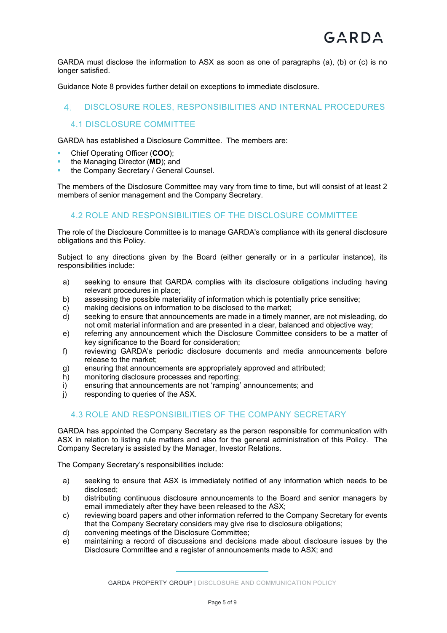GARDA must disclose the information to ASX as soon as one of paragraphs (a), (b) or (c) is no longer satisfied.

Guidance Note 8 provides further detail on exceptions to immediate disclosure.

#### DISCLOSURE ROLES, RESPONSIBILITIES AND INTERNAL PROCEDURES

#### 4.1 DISCLOSURE COMMITTEE

GARDA has established a Disclosure Committee. The members are:

- Chief Operating Officer (**COO**);
- the Managing Director (**MD**); and
- the Company Secretary / General Counsel.

The members of the Disclosure Committee may vary from time to time, but will consist of at least 2 members of senior management and the Company Secretary.

#### 4.2 ROLE AND RESPONSIBILITIES OF THE DISCLOSURE COMMITTEE

The role of the Disclosure Committee is to manage GARDA's compliance with its general disclosure obligations and this Policy.

Subject to any directions given by the Board (either generally or in a particular instance), its responsibilities include:

- a) seeking to ensure that GARDA complies with its disclosure obligations including having relevant procedures in place;
- b) assessing the possible materiality of information which is potentially price sensitive;
- c) making decisions on information to be disclosed to the market;
- d) seeking to ensure that announcements are made in a timely manner, are not misleading, do not omit material information and are presented in a clear, balanced and objective way;
- e) referring any announcement which the Disclosure Committee considers to be a matter of key significance to the Board for consideration;
- f) reviewing GARDA's periodic disclosure documents and media announcements before release to the market;
- g) ensuring that announcements are appropriately approved and attributed;
- h) monitoring disclosure processes and reporting;
- i) ensuring that announcements are not 'ramping' announcements; and
- j) responding to queries of the ASX.

#### 4.3 ROLE AND RESPONSIBILITIES OF THE COMPANY SECRETARY

GARDA has appointed the Company Secretary as the person responsible for communication with ASX in relation to listing rule matters and also for the general administration of this Policy. The Company Secretary is assisted by the Manager, Investor Relations.

The Company Secretary's responsibilities include:

- a) seeking to ensure that ASX is immediately notified of any information which needs to be disclosed;
- b) distributing continuous disclosure announcements to the Board and senior managers by email immediately after they have been released to the ASX;
- c) reviewing board papers and other information referred to the Company Secretary for events that the Company Secretary considers may give rise to disclosure obligations;
- d) convening meetings of the Disclosure Committee;
- e) maintaining a record of discussions and decisions made about disclosure issues by the Disclosure Committee and a register of announcements made to ASX; and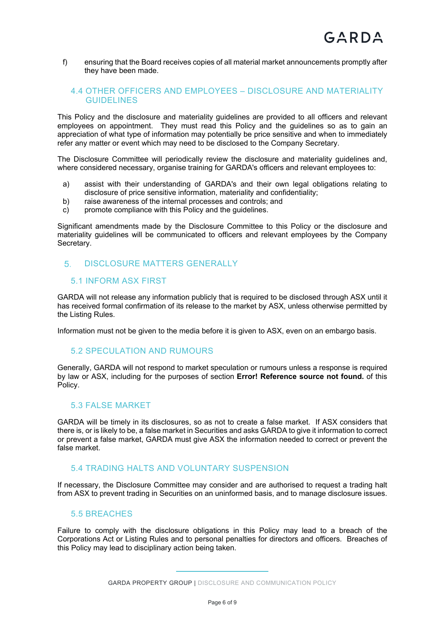f) ensuring that the Board receives copies of all material market announcements promptly after they have been made.

#### 4.4 OTHER OFFICERS AND EMPLOYEES – DISCLOSURE AND MATERIALITY GUIDELINES

This Policy and the disclosure and materiality guidelines are provided to all officers and relevant employees on appointment. They must read this Policy and the guidelines so as to gain an appreciation of what type of information may potentially be price sensitive and when to immediately refer any matter or event which may need to be disclosed to the Company Secretary.

The Disclosure Committee will periodically review the disclosure and materiality guidelines and, where considered necessary, organise training for GARDA's officers and relevant employees to:

- a) assist with their understanding of GARDA's and their own legal obligations relating to disclosure of price sensitive information, materiality and confidentiality;
- b) raise awareness of the internal processes and controls; and
- c) promote compliance with this Policy and the guidelines.

Significant amendments made by the Disclosure Committee to this Policy or the disclosure and materiality guidelines will be communicated to officers and relevant employees by the Company Secretary.

#### 5. DISCLOSURE MATTERS GENERALLY

#### 5.1 INFORM ASX FIRST

GARDA will not release any information publicly that is required to be disclosed through ASX until it has received formal confirmation of its release to the market by ASX, unless otherwise permitted by the Listing Rules.

Information must not be given to the media before it is given to ASX, even on an embargo basis.

#### 5.2 SPECULATION AND RUMOURS

Generally, GARDA will not respond to market speculation or rumours unless a response is required by law or ASX, including for the purposes of section **Error! Reference source not found.** of this Policy.

#### 5.3 FALSE MARKET

GARDA will be timely in its disclosures, so as not to create a false market. If ASX considers that there is, or is likely to be, a false market in Securities and asks GARDA to give it information to correct or prevent a false market, GARDA must give ASX the information needed to correct or prevent the false market.

#### 5.4 TRADING HALTS AND VOLUNTARY SUSPENSION

If necessary, the Disclosure Committee may consider and are authorised to request a trading halt from ASX to prevent trading in Securities on an uninformed basis, and to manage disclosure issues.

#### 5.5 BREACHES

Failure to comply with the disclosure obligations in this Policy may lead to a breach of the Corporations Act or Listing Rules and to personal penalties for directors and officers. Breaches of this Policy may lead to disciplinary action being taken.

GARDA PROPERTY GROUP | DISCLOSURE AND COMMUNICATION POLICY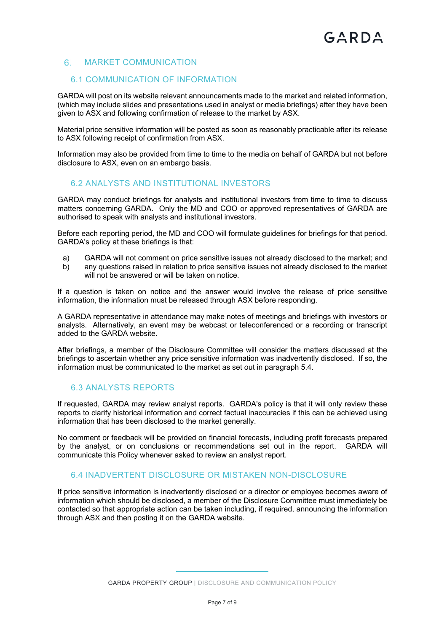#### 6. MARKET COMMUNICATION

#### 6.1 COMMUNICATION OF INFORMATION

GARDA will post on its website relevant announcements made to the market and related information, (which may include slides and presentations used in analyst or media briefings) after they have been given to ASX and following confirmation of release to the market by ASX.

Material price sensitive information will be posted as soon as reasonably practicable after its release to ASX following receipt of confirmation from ASX.

Information may also be provided from time to time to the media on behalf of GARDA but not before disclosure to ASX, even on an embargo basis.

#### 6.2 ANALYSTS AND INSTITUTIONAL INVESTORS

GARDA may conduct briefings for analysts and institutional investors from time to time to discuss matters concerning GARDA. Only the MD and COO or approved representatives of GARDA are authorised to speak with analysts and institutional investors.

Before each reporting period, the MD and COO will formulate guidelines for briefings for that period. GARDA's policy at these briefings is that:

- a) GARDA will not comment on price sensitive issues not already disclosed to the market; and
- b) any questions raised in relation to price sensitive issues not already disclosed to the market will not be answered or will be taken on notice.

If a question is taken on notice and the answer would involve the release of price sensitive information, the information must be released through ASX before responding.

A GARDA representative in attendance may make notes of meetings and briefings with investors or analysts. Alternatively, an event may be webcast or teleconferenced or a recording or transcript added to the GARDA website.

After briefings, a member of the Disclosure Committee will consider the matters discussed at the briefings to ascertain whether any price sensitive information was inadvertently disclosed. If so, the information must be communicated to the market as set out in paragraph 5.4.

#### 6.3 ANALYSTS REPORTS

If requested, GARDA may review analyst reports. GARDA's policy is that it will only review these reports to clarify historical information and correct factual inaccuracies if this can be achieved using information that has been disclosed to the market generally.

No comment or feedback will be provided on financial forecasts, including profit forecasts prepared by the analyst, or on conclusions or recommendations set out in the report. GARDA will communicate this Policy whenever asked to review an analyst report.

#### 6.4 INADVERTENT DISCLOSURE OR MISTAKEN NON-DISCLOSURE

If price sensitive information is inadvertently disclosed or a director or employee becomes aware of information which should be disclosed, a member of the Disclosure Committee must immediately be contacted so that appropriate action can be taken including, if required, announcing the information through ASX and then posting it on the GARDA website.

GARDA PROPERTY GROUP | DISCLOSURE AND COMMUNICATION POLICY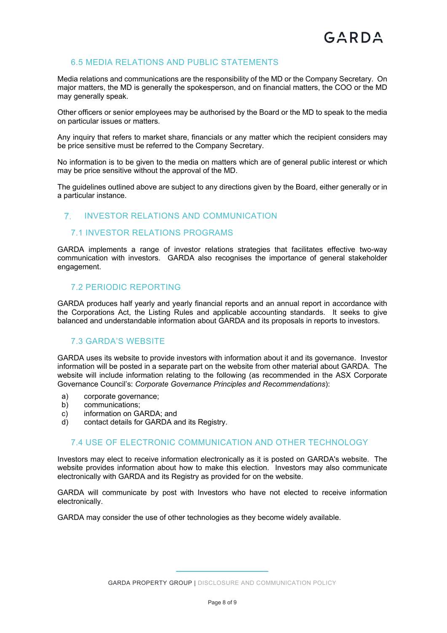#### 6.5 MEDIA RELATIONS AND PUBLIC STATEMENTS

Media relations and communications are the responsibility of the MD or the Company Secretary. On major matters, the MD is generally the spokesperson, and on financial matters, the COO or the MD may generally speak.

Other officers or senior employees may be authorised by the Board or the MD to speak to the media on particular issues or matters.

Any inquiry that refers to market share, financials or any matter which the recipient considers may be price sensitive must be referred to the Company Secretary.

No information is to be given to the media on matters which are of general public interest or which may be price sensitive without the approval of the MD.

The guidelines outlined above are subject to any directions given by the Board, either generally or in a particular instance.

#### 7. INVESTOR RELATIONS AND COMMUNICATION

#### 7.1 INVESTOR RELATIONS PROGRAMS

GARDA implements a range of investor relations strategies that facilitates effective two-way communication with investors. GARDA also recognises the importance of general stakeholder engagement.

#### 7.2 PERIODIC REPORTING

GARDA produces half yearly and yearly financial reports and an annual report in accordance with the Corporations Act, the Listing Rules and applicable accounting standards. It seeks to give balanced and understandable information about GARDA and its proposals in reports to investors.

#### 7.3 GARDA'S WEBSITE

GARDA uses its website to provide investors with information about it and its governance. Investor information will be posted in a separate part on the website from other material about GARDA. The website will include information relating to the following (as recommended in the ASX Corporate Governance Council's: *Corporate Governance Principles and Recommendations*):

- a) corporate governance;
- b) communications;
- c) information on GARDA; and
- d) contact details for GARDA and its Registry.

#### 7.4 USE OF ELECTRONIC COMMUNICATION AND OTHER TECHNOLOGY

Investors may elect to receive information electronically as it is posted on GARDA's website. The website provides information about how to make this election. Investors may also communicate electronically with GARDA and its Registry as provided for on the website.

GARDA will communicate by post with Investors who have not elected to receive information electronically.

GARDA may consider the use of other technologies as they become widely available.

GARDA PROPERTY GROUP | DISCLOSURE AND COMMUNICATION POLICY